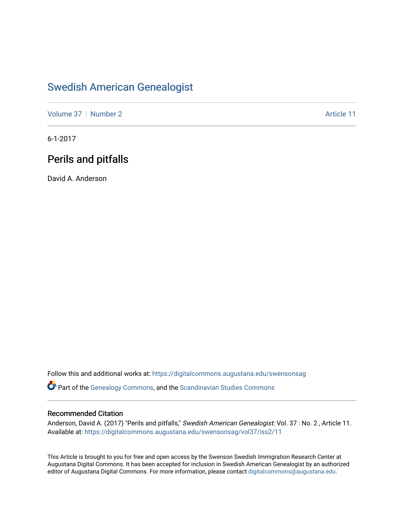## [Swedish American Genealogist](https://digitalcommons.augustana.edu/swensonsag)

[Volume 37](https://digitalcommons.augustana.edu/swensonsag/vol37) [Number 2](https://digitalcommons.augustana.edu/swensonsag/vol37/iss2) Article 11

6-1-2017

## Perils and pitfalls

David A. Anderson

Follow this and additional works at: [https://digitalcommons.augustana.edu/swensonsag](https://digitalcommons.augustana.edu/swensonsag?utm_source=digitalcommons.augustana.edu%2Fswensonsag%2Fvol37%2Fiss2%2F11&utm_medium=PDF&utm_campaign=PDFCoverPages) 

Part of the [Genealogy Commons,](http://network.bepress.com/hgg/discipline/1342?utm_source=digitalcommons.augustana.edu%2Fswensonsag%2Fvol37%2Fiss2%2F11&utm_medium=PDF&utm_campaign=PDFCoverPages) and the [Scandinavian Studies Commons](http://network.bepress.com/hgg/discipline/485?utm_source=digitalcommons.augustana.edu%2Fswensonsag%2Fvol37%2Fiss2%2F11&utm_medium=PDF&utm_campaign=PDFCoverPages)

#### Recommended Citation

Anderson, David A. (2017) "Perils and pitfalls," Swedish American Genealogist: Vol. 37 : No. 2 , Article 11. Available at: [https://digitalcommons.augustana.edu/swensonsag/vol37/iss2/11](https://digitalcommons.augustana.edu/swensonsag/vol37/iss2/11?utm_source=digitalcommons.augustana.edu%2Fswensonsag%2Fvol37%2Fiss2%2F11&utm_medium=PDF&utm_campaign=PDFCoverPages) 

This Article is brought to you for free and open access by the Swenson Swedish Immigration Research Center at Augustana Digital Commons. It has been accepted for inclusion in Swedish American Genealogist by an authorized editor of Augustana Digital Commons. For more information, please contact [digitalcommons@augustana.edu.](mailto:digitalcommons@augustana.edu)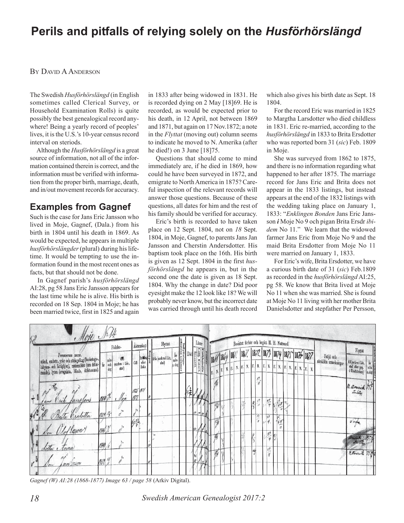# **Perils and pitfalls of relying solely on the** *Husförhörslängd*

#### BY DAVID A ANDERSON

The Swedish *Husförhörslängd* (in English sometimes called Clerical Survey, or Household Examination Rolls) is quite possibly the best genealogical record anywhere! Being a yearly record of peoples' lives, it is the U.S.'s 10-year census record interval on steriods.

Although the *Husförhörslängd* is a great source of information, not all of the information contained therein is correct, and the information must be verified with information from the proper birth, marriage, death, and in/out movement records for accuracy.

## **Examples from Gagnef**

Such is the case for Jans Eric Jansson who lived in Moje, Gagnef, (Dala.) from his birth in 1804 until his death in 1869. As would be expected, he appears in multiple *husförhörslängder* (plural) during his lifetime. It would be tempting to use the information found in the most recent ones as facts, but that should not be done.

In Gagnef parish's *husförhörslängd* AI:28, pg 58 Jans Eric Jansson appears for the last time while he is alive. His birth is recorded on 18 Sep. 1804 in Moje; he has been married twice, first in 1825 and again

in 1833 after being widowed in 1831. He is recorded dying on 2 May [18]69. He is recorded, as would be expected prior to his death, in 12 April, not between 1869 and 1871, but again on 17 Nov.1872; a note in the *Flyttat* (moving out) column seems to indicate he moved to N. Amerika (after he died!) on 3 June [18]75.

Questions that should come to mind immediately are, if he died in 1869, how could he have been surveyed in 1872, and emigrate to North America in 1875? Careful inspection of the relevant records will answer those questions. Because of these questions, all dates for him and the rest of his family should be verified for accuracy.

Eric's birth is recorded to have taken place on 12 Sept. 1804, not on *18* Sept. 1804, in Moje, Gagnef, to parents Jans Jan Jansson and Cherstin Andersdotter. His baptism took place on the 16th. His birth is given as 12 Sept. 1804 in the first *husförhörslängd* he appears in, but in the second one the date is given as 18 Sept. 1804. Why the change in date? Did poor eyesight make the 12 look like 18? We will probably never know, but the incorrect date was carried through until his death record which also gives his birth date as Sept. 18 1804.

For the record Eric was married in 1825 to Margtha Larsdotter who died childless in 1831. Eric re-married, according to the *husförhörslängd* in 1833 to Brita Ersdotter who was reported born 31 (*sic*) Feb. 1809 in Moje.

She was surveyed from 1862 to 1875, and there is no information regarding what happened to her after 1875. The marriage record for Jans Eric and Brita does not appear in the 1833 listings, but instead appears at the end of the 1832 listings with the wedding taking place on January 1, 1833: "*Enklingen Bonden* Jans Eric Jansson *i* Moje No 9 och pigan Brita Ersdr *ibidem* No 11." We learn that the widowed farmer Jans Eric from Moje No 9 and the maid Brita Ersdotter from Moje No 11 were married on January 1, 1833.

For Eric's wife, Brita Ersdotter, we have a curious birth date of 31 (*sic*) Feb.1809 as recorded in the *husförhörslängd* AI:25, pg 58. We know that Brita lived at Moje No 11 when she was married. She is found at Moje No 11 living with her mother Brita Danielsdotter and stepfather Per Persson,



*Gagnef (W) AI:28 (1868-1877) Image 63 / page 58* (Arkiv Digital).